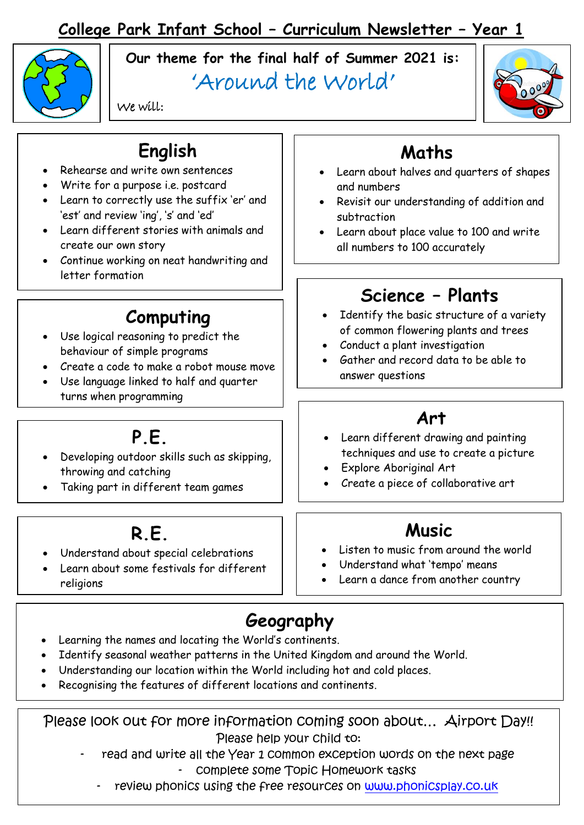## **College Park Infant School – Curriculum Newsletter – Year 1**



**Our theme for the final half of Summer 2021 is:**

# 'Around the World'



We will:

# **English**

- Rehearse and write own sentences
- Write for a purpose i.e. postcard
- Learn to correctly use the suffix 'er' and 'est' and review 'ing', 's' and 'ed'
- Learn different stories with animals and create our own story
- Continue working on neat handwriting and letter formation

### **Computing**

- Use logical reasoning to predict the behaviour of simple programs
- Create a code to make a robot mouse move
- Use language linked to half and quarter turns when programming

# **P.E.**

- Developing outdoor skills such as skipping, throwing and catching
- Taking part in different team games

### **R.E.**

- Understand about special celebrations
- Learn about some festivals for different religions

## **Maths**

- Learn about halves and quarters of shapes and numbers
- Revisit our understanding of addition and subtraction
- Learn about place value to 100 and write all numbers to 100 accurately

# **Science – Plants**

- Identify the basic structure of a variety of common flowering plants and trees
- Conduct a plant investigation
- Gather and record data to be able to answer questions

#### **Art**

- Learn different drawing and painting techniques and use to create a picture
- Explore Aboriginal Art
- Create a piece of collaborative art

### **Music**

- Listen to music from around the world
- Understand what 'tempo' means
- Learn a dance from another country

# **Geography**

- Learning the names and locating the World's continents.
- Identify seasonal weather patterns in the United Kingdom and around the World.
- Understanding our location within the World including hot and cold places.
- Recognising the features of different locations and continents.

Please look out for more information coming soon about... Airport Day!! Please help your child to:

read and write all the Year 1 common exception words on the next page complete some Topic Homework tasks

review phonics using the free resources on [www.phonicsplay.co.uk](http://www.phonicsplay.co.uk/)